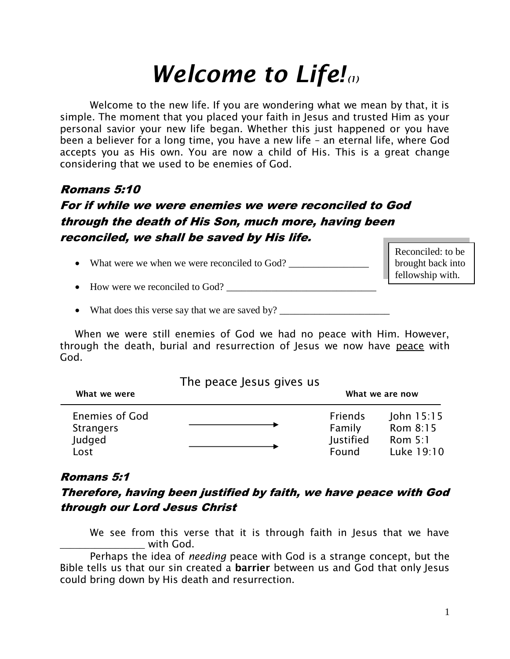# *Welcome to Life! (1)*

Welcome to the new life. If you are wondering what we mean by that, it is simple. The moment that you placed your faith in Jesus and trusted Him as your personal savior your new life began. Whether this just happened or you have been a believer for a long time, you have a new life – an eternal life, where God accepts you as His own. You are now a child of His. This is a great change considering that we used to be enemies of God.

## Romans 5:10

# For if while we were enemies we were reconciled to God through the death of His Son, much more, having been reconciled, we shall be saved by His life.

• What were we when we were reconciled to God? \_\_\_\_\_\_\_\_\_\_\_\_\_\_\_\_\_\_\_\_\_\_\_\_\_\_\_\_\_\_\_\_\_

Reconciled: to be brought back into fellowship with.

How were we reconciled to God? \_\_\_\_\_\_\_\_\_\_\_\_\_\_\_\_\_\_\_\_\_\_\_\_\_\_\_\_\_\_

• What does this verse say that we are saved by? \_\_\_\_\_\_\_\_\_\_\_\_\_\_\_\_\_\_\_\_\_\_\_\_\_\_\_\_\_\_\_

When we were still enemies of God we had no peace with Him. However, through the death, burial and resurrection of Jesus we now have peace with God.

#### The peace Jesus gives us

| What we were                       |  | What we are now          |                          |
|------------------------------------|--|--------------------------|--------------------------|
| Enemies of God<br><b>Strangers</b> |  | <b>Friends</b><br>Family | John $15:15$<br>Rom 8:15 |
| Judged                             |  | Justified                | Rom $5:1$                |
| Lost                               |  | Found                    | Luke 19:10               |

#### Romans 5:1

## Therefore, having been justified by faith, we have peace with God through our Lord Jesus Christ

We see from this verse that it is through faith in Jesus that we have  $\blacksquare$  with God.

Perhaps the idea of *needing* peace with God is a strange concept, but the Bible tells us that our sin created a **barrier** between us and God that only Jesus could bring down by His death and resurrection.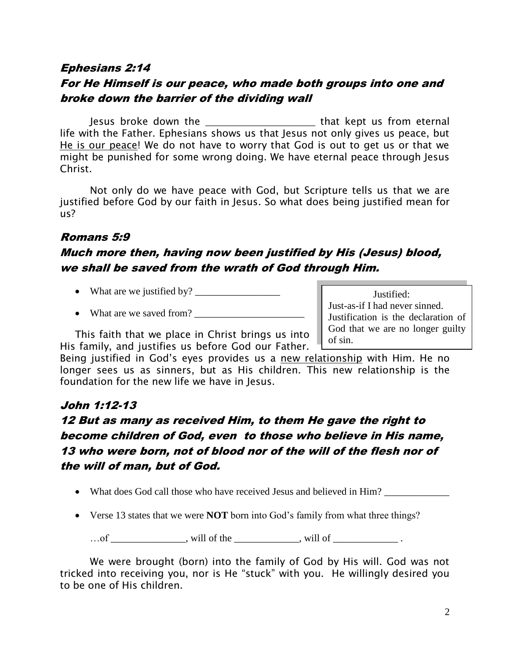#### Ephesians 2:14

## For He Himself is our peace, who made both groups into one and broke down the barrier of the dividing wall

Jesus broke down the \_\_\_\_\_\_\_\_\_\_\_\_\_\_\_\_\_\_\_\_\_\_ that kept us from eternal life with the Father. Ephesians shows us that Jesus not only gives us peace, but He is our peace! We do not have to worry that God is out to get us or that we might be punished for some wrong doing. We have eternal peace through Jesus Christ.

Not only do we have peace with God, but Scripture tells us that we are justified before God by our faith in Jesus. So what does being justified mean for us?

#### Romans 5:9

## Much more then, having now been justified by His (Jesus) blood, we shall be saved from the wrath of God through Him.

- What are we justified by? \_\_\_\_\_\_\_\_\_\_\_\_\_\_\_\_\_
- What are we saved from?

This faith that we place in Christ brings us into His family, and justifies us before God our Father.

God that we are no longer guilty of sin. Being justified in God's eyes provides us a new relationship with Him. He no

 Justified: Just-as-if I had never sinned. Justification is the declaration of

longer sees us as sinners, but as His children. This new relationship is the foundation for the new life we have in Jesus.

#### John 1:12-13

# 12 But as many as received Him, to them He gave the right to become children of God, even to those who believe in His name, 13 who were born, not of blood nor of the will of the flesh nor of the will of man, but of God.

- What does God call those who have received Jesus and believed in Him?
- Verse 13 states that we were **NOT** born into God's family from what three things?

 $\dots$  of \_\_\_\_\_\_\_\_\_\_\_\_, will of the \_\_\_\_\_\_\_\_\_, will of \_\_\_\_\_\_\_\_\_\_.

We were brought (born) into the family of God by His will. God was not tricked into receiving you, nor is He "stuck" with you. He willingly desired you to be one of His children.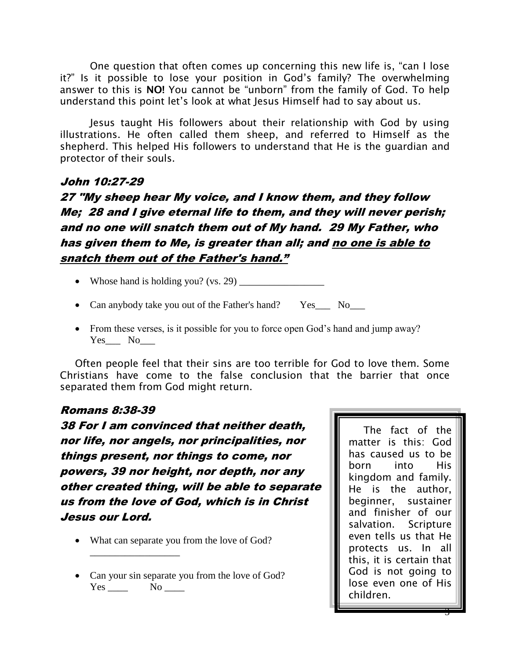One question that often comes up concerning this new life is, "can I lose it?" Is it possible to lose your position in God's family? The overwhelming answer to this is **NO!** You cannot be "unborn" from the family of God. To help understand this point let's look at what Jesus Himself had to say about us.

Jesus taught His followers about their relationship with God by using illustrations. He often called them sheep, and referred to Himself as the shepherd. This helped His followers to understand that He is the guardian and protector of their souls.

#### John 10:27-29

27 "My sheep hear My voice, and I know them, and they follow Me; 28 and I give eternal life to them, and they will never perish; and no one will snatch them out of My hand. 29 My Father, who has given them to Me, is greater than all; and no one is able to snatch them out of the Father's hand."

- Whose hand is holding you? (vs. 29)  $\frac{1}{\sqrt{2\pi}}$
- Can anybody take you out of the Father's hand? Yes\_\_\_ No\_\_\_
- From these verses, is it possible for you to force open God's hand and jump away? Yes No

Often people feel that their sins are too terrible for God to love them. Some Christians have come to the false conclusion that the barrier that once separated them from God might return.

#### Romans 8:38-39

38 For I am convinced that neither death, nor life, nor angels, nor principalities, nor things present, nor things to come, nor powers, 39 nor height, nor depth, nor any other created thing, will be able to separate us from the love of God, which is in Christ Jesus our Lord.

• What can separate you from the love of God?

\_\_\_\_\_\_\_\_\_\_\_\_\_\_\_\_\_\_

• Can your sin separate you from the love of God? Yes \_\_\_\_\_ No \_\_\_\_

The fact of the matter is this: God has caused us to be born into His kingdom and family. He is the author, beginner, sustainer and finisher of our salvation. Scripture even tells us that He protects us. In all this, it is certain that God is not going to lose even one of His children.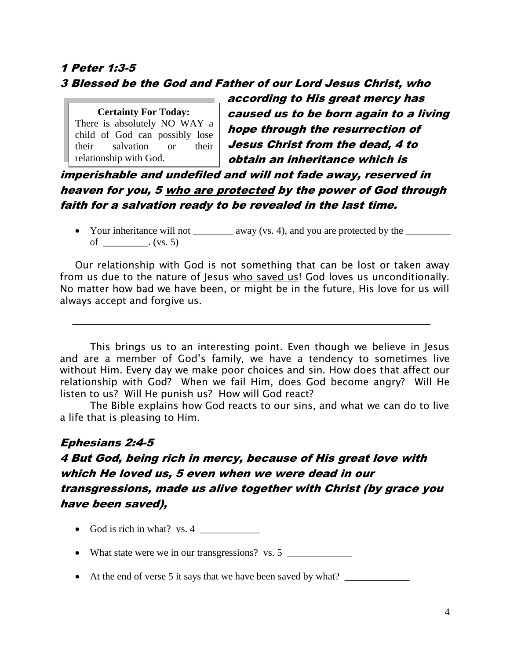# 1 Peter 1:3-5 3 Blessed be the God and Father of our Lord Jesus Christ, who

 **Certainty For Today:** There is absolutely NO WAY a child of God can possibly lose their salvation or their relationship with God.

according to His great mercy has caused us to be born again to a living hope through the resurrection of Jesus Christ from the dead, 4 to obtain an inheritance which is

imperishable and undefiled and will not fade away, reserved in heaven for you, 5 who are protected by the power of God through faith for a salvation ready to be revealed in the last time.

• Your inheritance will not \_\_\_\_\_\_\_\_\_ away (vs. 4), and you are protected by the \_\_\_\_\_\_\_\_\_\_ of \_\_\_\_\_\_\_\_\_. (vs. 5)

Our relationship with God is not something that can be lost or taken away from us due to the nature of Jesus who saved us! God loves us unconditionally. No matter how bad we have been, or might be in the future, His love for us will always accept and forgive us.

This brings us to an interesting point. Even though we believe in Jesus and are a member of God's family, we have a tendency to sometimes live without Him. Every day we make poor choices and sin. How does that affect our relationship with God? When we fail Him, does God become angry? Will He listen to us? Will He punish us? How will God react?

The Bible explains how God reacts to our sins, and what we can do to live a life that is pleasing to Him.

# Ephesians 2:4-5 4 But God, being rich in mercy, because of His great love with which He loved us, 5 even when we were dead in our transgressions, made us alive together with Christ (by grace you have been saved),

- God is rich in what? vs. 4  $\frac{1}{\sqrt{1-\frac{1}{\sqrt{1-\frac{1}{\sqrt{1-\frac{1}{\sqrt{1-\frac{1}{\sqrt{1-\frac{1}{\sqrt{1-\frac{1}{\sqrt{1-\frac{1}{\sqrt{1-\frac{1}{\sqrt{1-\frac{1}{\sqrt{1-\frac{1}{\sqrt{1-\frac{1}{\sqrt{1-\frac{1}{\sqrt{1-\frac{1}{\sqrt{1-\frac{1}{\sqrt{1-\frac{1}{\sqrt{1-\frac{1}{\sqrt{1-\frac{1}{\sqrt{1-\frac{1}{\sqrt{1-\frac{1}{\sqrt{1-\frac{1}{\sqrt{1-\frac$
- What state were we in our transgressions? vs. 5 \_\_\_\_\_\_\_\_\_\_\_\_\_\_\_\_\_\_\_\_\_\_\_\_\_\_\_\_\_\_
- At the end of verse 5 it says that we have been saved by what? \_\_\_\_\_\_\_\_\_\_\_\_\_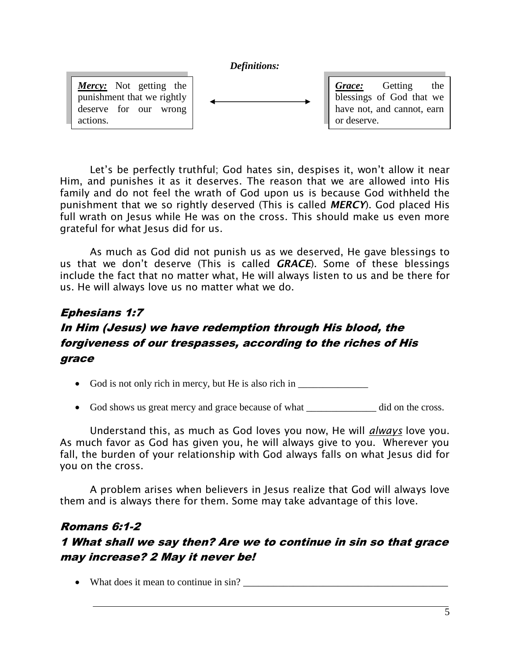#### *Definitions:*

*Mercy:* Not getting the punishment that we rightly deserve for our wrong actions.

*Grace:* Getting the blessings of God that we have not, and cannot, earn or deserve.

Let's be perfectly truthful; God hates sin, despises it, won't allow it near Him, and punishes it as it deserves. The reason that we are allowed into His family and do not feel the wrath of God upon us is because God withheld the punishment that we so rightly deserved (This is called *MERCY*). God placed His full wrath on Jesus while He was on the cross. This should make us even more grateful for what Jesus did for us.

As much as God did not punish us as we deserved, He gave blessings to us that we don't deserve (This is called *GRACE*). Some of these blessings include the fact that no matter what, He will always listen to us and be there for us. He will always love us no matter what we do.

# Ephesians 1:7 In Him (Jesus) we have redemption through His blood, the forgiveness of our trespasses, according to the riches of His grace

- God is not only rich in mercy, but He is also rich in \_\_\_\_\_\_\_\_\_\_\_\_\_\_\_\_\_\_\_\_\_\_\_\_
- God shows us great mercy and grace because of what \_\_\_\_\_\_\_\_\_\_\_\_\_\_\_\_\_ did on the cross.

Understand this, as much as God loves you now, He will *always* love you. As much favor as God has given you, he will always give to you. Wherever you fall, the burden of your relationship with God always falls on what Jesus did for you on the cross.

A problem arises when believers in Jesus realize that God will always love them and is always there for them. Some may take advantage of this love.

## Romans 6:1-2 1 What shall we say then? Are we to continue in sin so that grace may increase? 2 May it never be!

• What does it mean to continue in sin?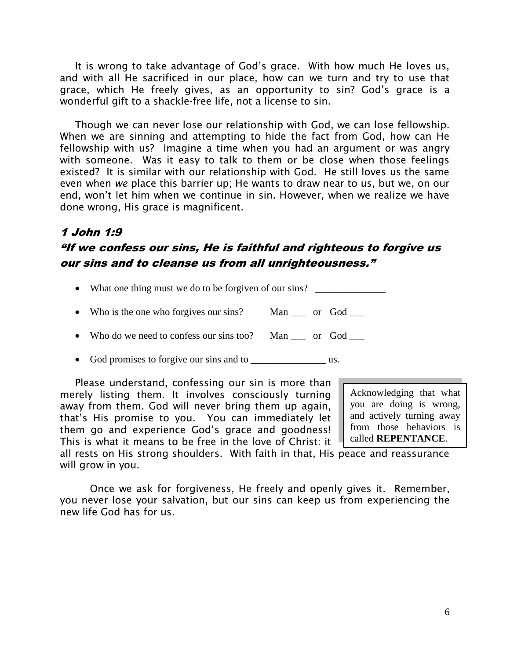It is wrong to take advantage of God's grace. With how much He loves us, and with all He sacrificed in our place, how can we turn and try to use that grace, which He freely gives, as an opportunity to sin? God's grace is a wonderful gift to a shackle-free life, not a license to sin.

Though we can never lose our relationship with God, we can lose fellowship. When we are sinning and attempting to hide the fact from God, how can He fellowship with us? Imagine a time when you had an argument or was angry with someone. Was it easy to talk to them or be close when those feelings existed? It is similar with our relationship with God. He still loves us the same even when *we* place this barrier up; He wants to draw near to us, but we, on our end, won't let him when we continue in sin. However, when we realize we have done wrong, His grace is magnificent.

# 1 John 1:9

## "If we confess our sins, He is faithful and righteous to forgive us our sins and to cleanse us from all unrighteousness."

- What one thing must we do to be forgiven of our sins?
- Who is the one who forgives our sins? Man or God
- Who do we need to confess our sins too? Man or God
- God promises to forgive our sins and to \_\_\_\_\_\_\_\_\_\_\_\_\_\_\_ us.

Please understand, confessing our sin is more than merely listing them. It involves consciously turning away from them. God will never bring them up again, that's His promise to you. You can immediately let them go and experience God's grace and goodness! This is what it means to be free in the love of Christ: it

Acknowledging that what you are doing is wrong, and actively turning away from those behaviors is called **REPENTANCE**.

all rests on His strong shoulders. With faith in that, His peace and reassurance will grow in you.

Once we ask for forgiveness, He freely and openly gives it. Remember, you never lose your salvation, but our sins can keep us from experiencing the new life God has for us.